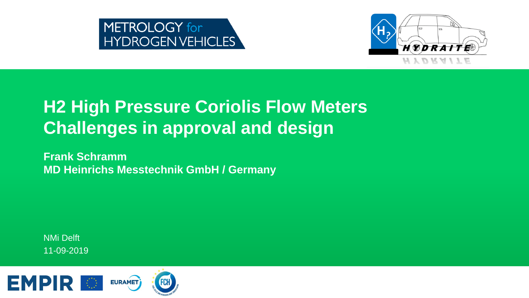



### **H2 High Pressure Coriolis Flow Meters Challenges in approval and design**

**Frank Schramm MD Heinrichs Messtechnik GmbH / Germany**

NMi Delft 11-09-2019

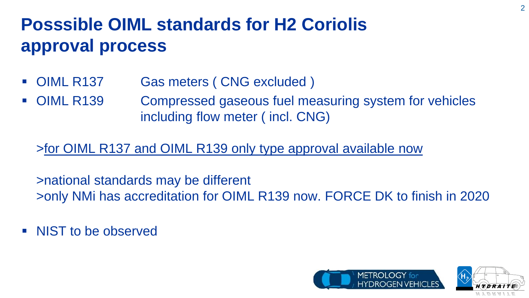# **Posssible OIML standards for H2 Coriolis approval process**

- OIML R137 Gas meters ( CNG excluded )
- OIML R139 Compressed gaseous fuel measuring system for vehicles including flow meter ( incl. CNG)

### >for OIML R137 and OIML R139 only type approval available now

>national standards may be different >only NMi has accreditation for OIML R139 now. FORCE DK to finish in 2020

• NIST to be observed



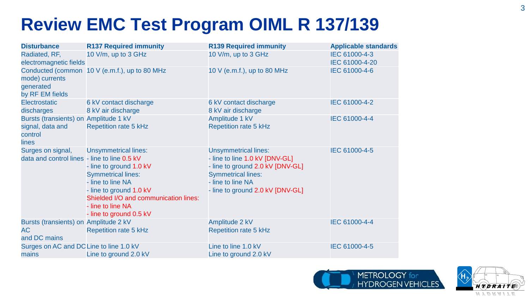## **Review EMC Test Program OIML R 137/139**

| <b>Disturbance</b>                                                            | <b>R137 Required immunity</b>                                                                                                                                                                                                | <b>R139 Required immunity</b>                                                                                                                                                           | <b>Applicable standards</b>     |
|-------------------------------------------------------------------------------|------------------------------------------------------------------------------------------------------------------------------------------------------------------------------------------------------------------------------|-----------------------------------------------------------------------------------------------------------------------------------------------------------------------------------------|---------------------------------|
| Radiated, RF,<br>electromagnetic fields                                       | 10 V/m, up to 3 GHz                                                                                                                                                                                                          | 10 V/m, up to 3 GHz                                                                                                                                                                     | IEC 61000-4-3<br>IEC 61000-4-20 |
| mode) currents<br>generated<br>by RF EM fields                                | Conducted (common 10 V (e.m.f.), up to 80 MHz                                                                                                                                                                                | 10 V (e.m.f.), up to 80 MHz                                                                                                                                                             | IEC 61000-4-6                   |
| Electrostatic<br>discharges                                                   | 6 kV contact discharge<br>8 kV air discharge                                                                                                                                                                                 | 6 kV contact discharge<br>8 kV air discharge                                                                                                                                            | IEC 61000-4-2                   |
| Bursts (transients) on Amplitude 1 kV<br>signal, data and<br>control<br>lines | <b>Repetition rate 5 kHz</b>                                                                                                                                                                                                 | Amplitude 1 kV<br><b>Repetition rate 5 kHz</b>                                                                                                                                          | IEC 61000-4-4                   |
| Surges on signal,<br>data and control lines - line to line 0.5 kV             | <b>Unsymmetrical lines:</b><br>- line to ground 1.0 kV<br><b>Symmetrical lines:</b><br>- line to line NA<br>- line to ground 1.0 kV<br>Shielded I/O and communication lines:<br>- line to line NA<br>- line to ground 0.5 kV | <b>Unsymmetrical lines:</b><br>- line to line 1.0 kV [DNV-GL]<br>- line to ground 2.0 kV [DNV-GL]<br><b>Symmetrical lines:</b><br>- line to line NA<br>- line to ground 2.0 kV [DNV-GL] | IEC 61000-4-5                   |
| Bursts (transients) on Amplitude 2 kV<br><b>AC</b><br>and DC mains            | <b>Repetition rate 5 kHz</b>                                                                                                                                                                                                 | Amplitude 2 kV<br><b>Repetition rate 5 kHz</b>                                                                                                                                          | IEC 61000-4-4                   |
| Surges on AC and DC Line to line 1.0 kV<br>mains                              | Line to ground 2.0 kV                                                                                                                                                                                                        | Line to line 1.0 kV<br>Line to ground 2.0 kV                                                                                                                                            | IEC 61000-4-5                   |



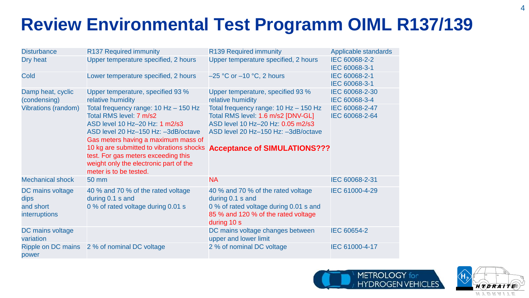# **Review Environmental Test Programm OIML R137/139**

| <b>Disturbance</b>                                            | R137 Required immunity                                                                                                                                                                                                                                                                                                                      | R139 Required immunity                                                                                                                                                                             | Applicable standards             |
|---------------------------------------------------------------|---------------------------------------------------------------------------------------------------------------------------------------------------------------------------------------------------------------------------------------------------------------------------------------------------------------------------------------------|----------------------------------------------------------------------------------------------------------------------------------------------------------------------------------------------------|----------------------------------|
| Dry heat                                                      | Upper temperature specified, 2 hours                                                                                                                                                                                                                                                                                                        | Upper temperature specified, 2 hours                                                                                                                                                               | IEC 60068-2-2<br>IEC 60068-3-1   |
| Cold                                                          | Lower temperature specified, 2 hours                                                                                                                                                                                                                                                                                                        | $-25$ °C or $-10$ °C, 2 hours                                                                                                                                                                      | IEC 60068-2-1<br>IEC 60068-3-1   |
| Damp heat, cyclic<br>(condensing)                             | Upper temperature, specified 93 %<br>relative humidity                                                                                                                                                                                                                                                                                      | Upper temperature, specified 93 %<br>relative humidity                                                                                                                                             | IEC 60068-2-30<br>IEC 60068-3-4  |
| <b>Vibrations (random)</b>                                    | Total frequency range: $10$ Hz $-$ 150 Hz<br>Total RMS level: 7 m/s2<br>ASD level 10 Hz-20 Hz: 1 m2/s3<br>ASD level 20 Hz-150 Hz: -3dB/octave<br>Gas meters having a maximum mass of<br>10 kg are submitted to vibrations shocks<br>test. For gas meters exceeding this<br>weight only the electronic part of the<br>meter is to be tested. | Total frequency range: $10$ Hz $-$ 150 Hz<br>Total RMS level: 1.6 m/s2 [DNV-GL]<br>ASD level 10 Hz-20 Hz: 0.05 m2/s3<br>ASD level 20 Hz-150 Hz: -3dB/octave<br><b>Acceptance of SIMULATIONS???</b> | IEC 60068-2-47<br>IEC 60068-2-64 |
| <b>Mechanical shock</b>                                       | 50 mm                                                                                                                                                                                                                                                                                                                                       | <b>NA</b>                                                                                                                                                                                          | IEC 60068-2-31                   |
| DC mains voltage<br>dips<br>and short<br><b>interruptions</b> | 40 % and 70 % of the rated voltage<br>during 0.1 s and<br>0 % of rated voltage during 0.01 s                                                                                                                                                                                                                                                | 40 % and 70 % of the rated voltage<br>during 0.1 s and<br>0 % of rated voltage during 0.01 s and<br>85 % and 120 % of the rated voltage<br>during 10 s                                             | IEC 61000-4-29                   |
| DC mains voltage<br>variation                                 |                                                                                                                                                                                                                                                                                                                                             | DC mains voltage changes between<br>upper and lower limit                                                                                                                                          | IEC 60654-2                      |
| Ripple on DC mains<br>power                                   | 2 % of nominal DC voltage                                                                                                                                                                                                                                                                                                                   | 2 % of nominal DC voltage                                                                                                                                                                          | IEC 61000-4-17                   |



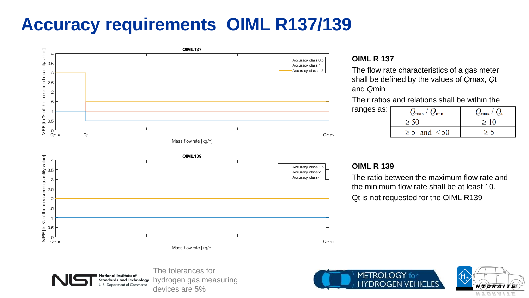## **Accuracy requirements OIML R137/139**



#### **OIML R 137**

The flow rate characteristics of a gas meter shall be defined by the values of *Q*max, *Q*t and *Q*min

Their ratios and relations shall be within the

| ranges as: $\vert$ | min<br>$\mathcal{L}_{\max}$ | $\angle$ max |
|--------------------|-----------------------------|--------------|
|                    |                             |              |
|                    | < 50<br>and                 |              |

#### **OIML R 139**

The ratio between the maximum flow rate and the minimum flow rate shall be at least 10. Qt is not requested for the OIML R139





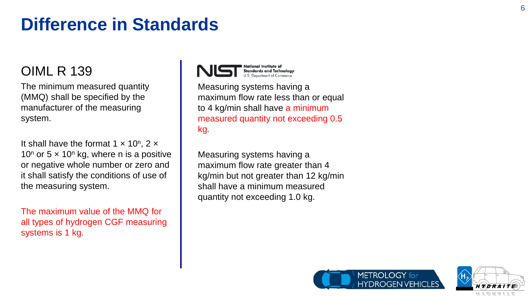### **Difference in Standards**

### OIML R 139

The minimum measured quantity (MMQ) shall be specified by the manufacturer of the measuring system.

It shall have the format  $1 \times 10^n$ ,  $2 \times$ 10<sup>n</sup> or 5  $\times$  10<sup>n</sup> kg, where n is a positive or negative whole number or zero and it shall satisfy the conditions of use of the measuring system.

The maximum value of the MMQ for all types of hydrogen CGF measuring systems is 1 kg.



Measuring systems having a maximum flow rate less than or equal to 4 kg/min shall have a minimum measured quantity not exceeding 0.5 kg.

Measuring systems having a maximum flow rate greater than 4 kg/min but not greater than 12 kg/min shall have a minimum measured quantity not exceeding 1.0 kg.



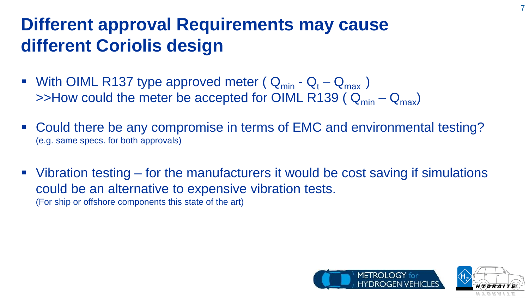### **Different approval Requirements may cause different Coriolis design**

- With OIML R137 type approved meter ( $Q_{min} Q_t Q_{max}$ )  $\rightarrow$ How could the meter be accepted for OIML R139 ( $Q_{min} - Q_{max}$ )
- Could there be any compromise in terms of EMC and environmental testing? (e.g. same specs. for both approvals)
- Vibration testing for the manufacturers it would be cost saving if simulations could be an alternative to expensive vibration tests. (For ship or offshore components this state of the art)





7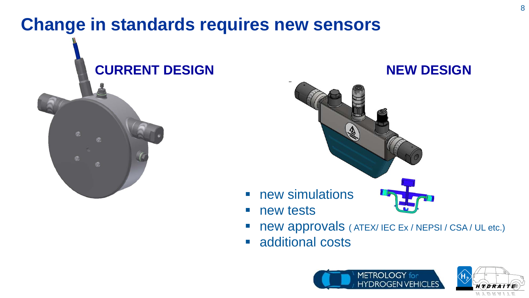### **Change in standards requires new sensors**





- new approvals ( ATEX/ IEC Ex / NEPSI / CSA / UL etc.)
- **additional costs**



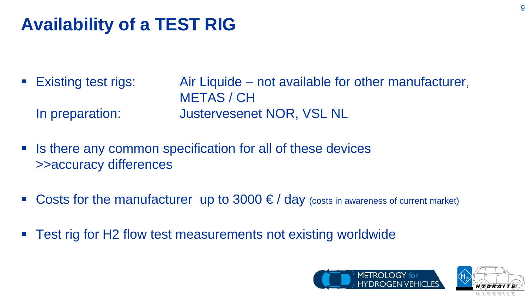# **Availability of a TEST RIG**

- Existing test rigs: Air Liquide not available for other manufacturer, METAS / CH In preparation: Justervesenet NOR, VSL NL
- Is there any common specification for all of these devices >>accuracy differences
- Costs for the manufacturer up to  $3000 \leq d$  day (costs in awareness of current market)
- Test rig for H2 flow test measurements not existing worldwide



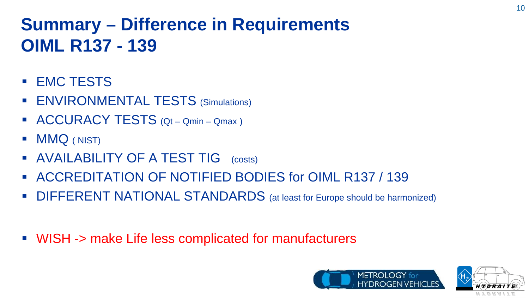# **Summary – Difference in Requirements OIML R137 - 139**

- **EMC TESTS**
- **ENVIRONMENTAL TESTS (Simulations)**
- ACCURACY TESTS (Qt Qmin Qmax )
- **MMQ** (NIST)
- **AVAILABILITY OF A TEST TIG** (costs)
- ACCREDITATION OF NOTIFIED BODIES for OIML R137 / 139
- DIFFERENT NATIONAL STANDARDS (at least for Europe should be harmonized)
- WISH -> make Life less complicated for manufacturers